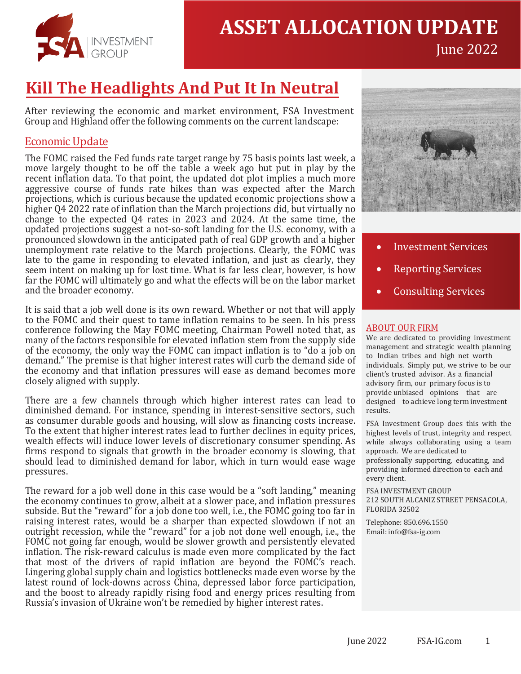

# **ASSET ALLOCATION UPDATE**

# **Kill The Headlights And Put It In Neutral**

After reviewing the economic and market environment, FSA Investment Group and Highland offer the following comments on the current landscape:

## Economic Update

The FOMC raised the Fed funds rate target range by 75 basis points last week, a move largely thought to be off the table a week ago but put in play by the recent inflation data. To that point, the updated dot plot implies a much more aggressive course of funds rate hikes than was expected after the March projections, which is curious because the updated economic projections show a higher Q4 2022 rate of inflation than the March projections did, but virtually no change to the expected Q4 rates in 2023 and 2024. At the same time, the updated projections suggest a not-so-soft landing for the U.S. economy, with a pronounced slowdown in the anticipated path of real GDP growth and a higher unemployment rate relative to the March projections. Clearly, the FOMC was late to the game in responding to elevated inflation, and just as clearly, they seem intent on making up for lost time. What is far less clear, however, is how far the FOMC will ultimately go and what the effects will be on the labor market and the broader economy.

It is said that a job well done is its own reward. Whether or not that will apply to the FOMC and their quest to tame inflation remains to be seen. In his press conference following the May FOMC meeting, Chairman Powell noted that, as many of the factors responsible for elevated inflation stem from the supply side of the economy, the only way the FOMC can impact inflation is to "do a job on demand." The premise is that higher interest rates will curb the demand side of the economy and that inflation pressures will ease as demand becomes more closely aligned with supply.

There are a few channels through which higher interest rates can lead to diminished demand. For instance, spending in interest-sensitive sectors, such as consumer durable goods and housing, will slow as financing costs increase. To the extent that higher interest rates lead to further declines in equity prices, wealth effects will induce lower levels of discretionary consumer spending. As firms respond to signals that growth in the broader economy is slowing, that should lead to diminished demand for labor, which in turn would ease wage pressures.

The reward for a job well done in this case would be a "soft landing," meaning the economy continues to grow, albeit at a slower pace, and inflation pressures subside. But the "reward" for a job done too well, i.e., the FOMC going too far in raising interest rates, would be a sharper than expected slowdown if not an outright recession, while the "reward" for a job not done well enough, i.e., the FOMC not going far enough, would be slower growth and persistently elevated inflation. The risk-reward calculus is made even more complicated by the fact that most of the drivers of rapid inflation are beyond the FOMC's reach. Lingering global supply chain and logistics bottlenecks made even worse by the latest round of lock-downs across China, depressed labor force participation, and the boost to already rapidly rising food and energy prices resulting from Russia's invasion of Ukraine won't be remedied by higher interest rates.



June 2022

- Investment Services
- Reporting Services
- Consulting Services

#### ABOUT OUR FIRM

We are dedicated to providing investment management and strategic wealth planning to Indian tribes and high net worth individuals. Simply put, we strive to be our client's trusted advisor. As a financial advisory firm, our primary focus is to provide unbiased opinions that are designed to achieve long term investment results.

FSA Investment Group does this with the highest levels of trust, integrity and respect while always collaborating using a team approach. We are dedicated to professionally supporting, educating, and providing informed direction to each and every client.

FSA INVESTMENT GROUP 212 SOUTH ALCANIZ STREET PENSACOLA, FLORIDA [32502](mailto:info@fsa-ig.com)

Telephone: 850.696.1550 Email: info@fsa-ig.com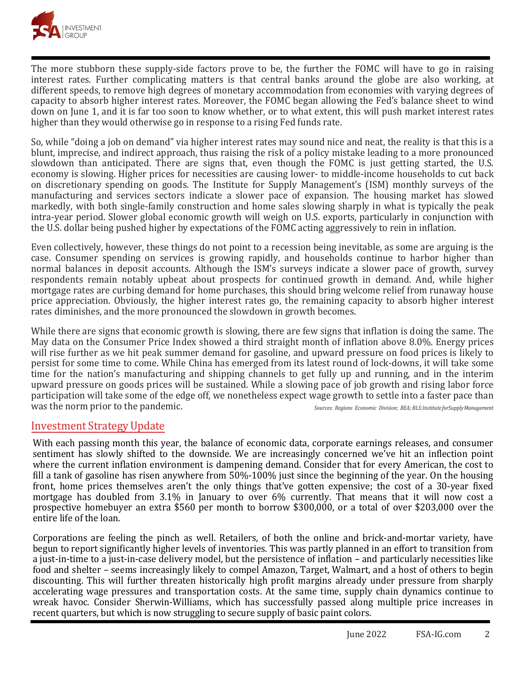

The more stubborn these supply-side factors prove to be, the further the FOMC will have to go in raising interest rates. Further complicating matters is that central banks around the globe are also working, at different speeds, to remove high degrees of monetary accommodation from economies with varying degrees of capacity to absorb higher interest rates. Moreover, the FOMC began allowing the Fed's balance sheet to wind down on June 1, and it is far too soon to know whether, or to what extent, this will push market interest rates higher than they would otherwise go in response to a rising Fed funds rate.

So, while "doing a job on demand" via higher interest rates may sound nice and neat, the reality is that this is a blunt, imprecise, and indirect approach, thus raising the risk of a policy mistake leading to a more pronounced slowdown than anticipated. There are signs that, even though the FOMC is just getting started, the U.S. economy is slowing. Higher prices for necessities are causing lower- to middle-income households to cut back on discretionary spending on goods. The Institute for Supply Management's (ISM) monthly surveys of the manufacturing and services sectors indicate a slower pace of expansion. The housing market has slowed markedly, with both single-family construction and home sales slowing sharply in what is typically the peak intra-year period. Slower global economic growth will weigh on U.S. exports, particularly in conjunction with the U.S. dollar being pushed higher by expectations of the FOMC acting aggressively to rein in inflation.

Even collectively, however, these things do not point to a recession being inevitable, as some are arguing is the case. Consumer spending on services is growing rapidly, and households continue to harbor higher than normal balances in deposit accounts. Although the ISM's surveys indicate a slower pace of growth, survey respondents remain notably upbeat about prospects for continued growth in demand. And, while higher mortgage rates are curbing demand for home purchases, this should bring welcome relief from runaway house price appreciation. Obviously, the higher interest rates go, the remaining capacity to absorb higher interest rates diminishes, and the more pronounced the slowdown in growth becomes.

While there are signs that economic growth is slowing, there are few signs that inflation is doing the same. The May data on the Consumer Price Index showed a third straight month of inflation above 8.0%. Energy prices will rise further as we hit peak summer demand for gasoline, and upward pressure on food prices is likely to persist for some time to come. While China has emerged from its latest round of lock-downs, it will take some time for the nation's manufacturing and shipping channels to get fully up and running, and in the interim upward pressure on goods prices will be sustained. While a slowing pace of job growth and rising labor force participation will take some of the edge off, we nonetheless expect wage growth to settle into a faster pace than<br>Was the norm prior to the pandemic. was the norm prior to the pandemic. *Sources: Regions Economic Division; BEA; <sup>B</sup>LS; Institute for Supply Management*

### Investment Strategy Update

With each passing month this year, the balance of economic data, corporate earnings releases, and consumer sentiment has slowly shifted to the downside. We are increasingly concerned we've hit an inflection point where the current inflation environment is dampening demand. Consider that for every American, the cost to fill a tank of gasoline has risen anywhere from 50%-100% just since the beginning of the year. On the housing front, home prices themselves aren't the only things that've gotten expensive; the cost of a 30-year fixed mortgage has doubled from 3.1% in January to over 6% currently. That means that it will now cost a prospective homebuyer an extra \$560 per month to borrow \$300,000, or a total of over \$203,000 over the entire life of the loan.

Corporations are feeling the pinch as well. Retailers, of both the online and brick-and-mortar variety, have begun to report significantly higher levels of inventories. This was partly planned in an effort to transition from a just-in-time to a just-in-case delivery model, but the persistence of inflation – and particularly necessities like food and shelter – seems increasingly likely to compel Amazon, Target, Walmart, and a host of others to begin discounting. This will further threaten historically high profit margins already under pressure from sharply accelerating wage pressures and transportation costs. At the same time, supply chain dynamics continue to wreak havoc. Consider Sherwin-Williams, which has successfully passed along multiple price increases in recent quarters, but which is now struggling to secure supply of basic paint colors.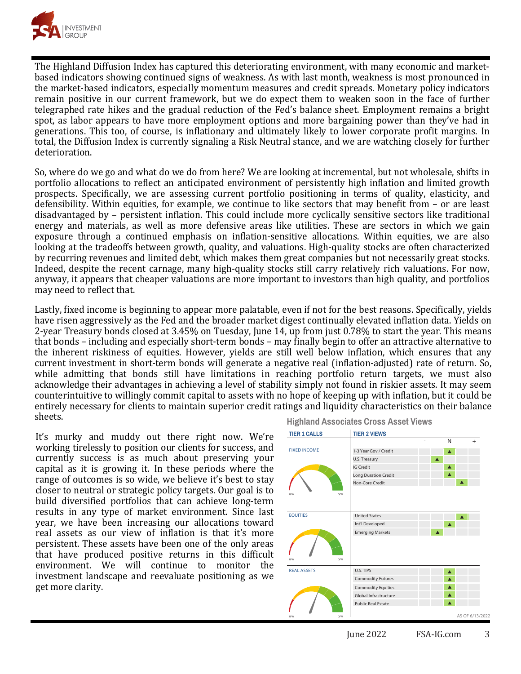

The Highland Diffusion Index has captured this deteriorating environment, with many economic and marketbased indicators showing continued signs of weakness. As with last month, weakness is most pronounced in the market-based indicators, especially momentum measures and credit spreads. Monetary policy indicators remain positive in our current framework, but we do expect them to weaken soon in the face of further telegraphed rate hikes and the gradual reduction of the Fed's balance sheet. Employment remains a bright spot, as labor appears to have more employment options and more bargaining power than they've had in generations. This too, of course, is inflationary and ultimately likely to lower corporate profit margins. In total, the Diffusion Index is currently signaling a Risk Neutral stance, and we are watching closely for further deterioration.

So, where do we go and what do we do from here? We are looking at incremental, but not wholesale, shifts in portfolio allocations to reflect an anticipated environment of persistently high inflation and limited growth prospects. Specifically, we are assessing current portfolio positioning in terms of quality, elasticity, and defensibility. Within equities, for example, we continue to like sectors that may benefit from – or are least disadvantaged by – persistent inflation. This could include more cyclically sensitive sectors like traditional energy and materials, as well as more defensive areas like utilities. These are sectors in which we gain exposure through a continued emphasis on inflation-sensitive allocations. Within equities, we are also looking at the tradeoffs between growth, quality, and valuations. High-quality stocks are often characterized by recurring revenues and limited debt, which makes them great companies but not necessarily great stocks. Indeed, despite the recent carnage, many high-quality stocks still carry relatively rich valuations. For now, anyway, it appears that cheaper valuations are more important to investors than high quality, and portfolios may need to reflect that.

Lastly, fixed income is beginning to appear more palatable, even if not for the best reasons. Specifically, yields have risen aggressively as the Fed and the broader market digest continually elevated inflation data. Yields on 2-year Treasury bonds closed at 3.45% on Tuesday, June 14, up from just 0.78% to start the year. This means that bonds – including and especially short-term bonds – may finally begin to offer an attractive alternative to the inherent riskiness of equities. However, yields are still well below inflation, which ensures that any current investment in short-term bonds will generate a negative real (inflation-adjusted) rate of return. So, while admitting that bonds still have limitations in reaching portfolio return targets, we must also acknowledge their advantages in achieving a level of stability simply not found in riskier assets. It may seem counterintuitive to willingly commit capital to assets with no hope of keeping up with inflation, but it could be entirely necessary for clients to maintain superior credit ratings and liquidity characteristics on their balance sheets.

It's murky and muddy out there right now. We're working tirelessly to position our clients for success, and currently success is as much about preserving your capital as it is growing it. In these periods where the range of outcomes is so wide, we believe it's best to stay closer to neutral or strategic policy targets. Our goal is to build diversified portfolios that can achieve long-term results in any type of market environment. Since last year, we have been increasing our allocations toward real assets as our view of inflation is that it's more persistent. These assets have been one of the only areas that have produced positive returns in this difficult environment. We will continue to monitor the investment landscape and reevaluate positioning as we get more clarity.

**Highland Associates Cross Asset Views**